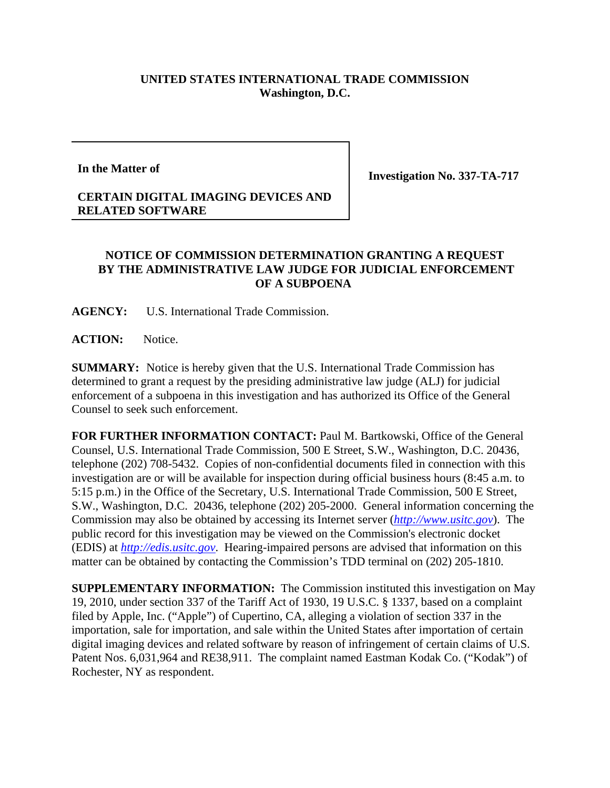## **UNITED STATES INTERNATIONAL TRADE COMMISSION Washington, D.C.**

**In the Matter of**

**RELATED SOFTWARE**

**CERTAIN DIGITAL IMAGING DEVICES AND**

**Investigation No. 337-TA-717**

## **NOTICE OF COMMISSION DETERMINATION GRANTING A REQUEST BY THE ADMINISTRATIVE LAW JUDGE FOR JUDICIAL ENFORCEMENT OF A SUBPOENA**

**AGENCY:** U.S. International Trade Commission.

**ACTION:** Notice.

**SUMMARY:** Notice is hereby given that the U.S. International Trade Commission has determined to grant a request by the presiding administrative law judge (ALJ) for judicial enforcement of a subpoena in this investigation and has authorized its Office of the General Counsel to seek such enforcement.

**FOR FURTHER INFORMATION CONTACT:** Paul M. Bartkowski, Office of the General Counsel, U.S. International Trade Commission, 500 E Street, S.W., Washington, D.C. 20436, telephone (202) 708-5432. Copies of non-confidential documents filed in connection with this investigation are or will be available for inspection during official business hours (8:45 a.m. to 5:15 p.m.) in the Office of the Secretary, U.S. International Trade Commission, 500 E Street, S.W., Washington, D.C. 20436, telephone (202) 205-2000. General information concerning the Commission may also be obtained by accessing its Internet server (*http://www.usitc.gov*). The public record for this investigation may be viewed on the Commission's electronic docket (EDIS) at *http://edis.usitc.gov*. Hearing-impaired persons are advised that information on this matter can be obtained by contacting the Commission's TDD terminal on (202) 205-1810.

**SUPPLEMENTARY INFORMATION:** The Commission instituted this investigation on May 19, 2010, under section 337 of the Tariff Act of 1930, 19 U.S.C. § 1337, based on a complaint filed by Apple, Inc. ("Apple") of Cupertino, CA, alleging a violation of section 337 in the importation, sale for importation, and sale within the United States after importation of certain digital imaging devices and related software by reason of infringement of certain claims of U.S. Patent Nos. 6,031,964 and RE38,911. The complaint named Eastman Kodak Co. ("Kodak") of Rochester, NY as respondent.